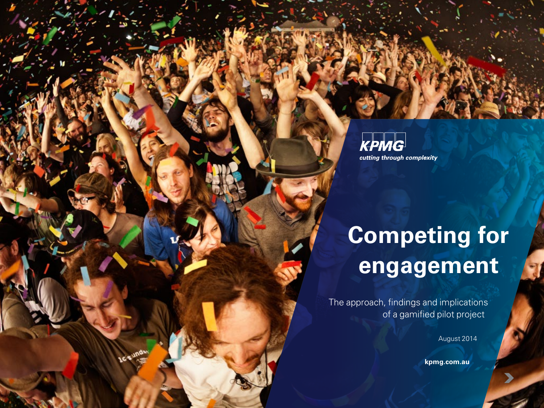KPMG cutting through complexity

## **Competing for engagement**

The approach, findings and implications of a gamified pilot project

August 2014

**[kpmg.com.au](http://www.kpmg.com.au)**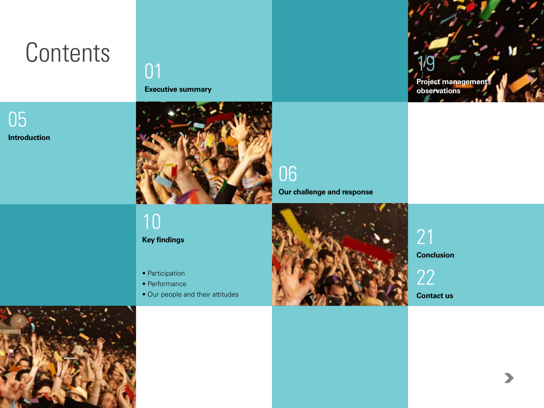## **Contents**

**Introduction** [05](#page-6-0)

## 01

**[Executive summary](#page-2-0)**



10

**Key findings**

- Participation
- Performance
- [Our people and their attitudes](#page-11-0)



**[Our challenge and response](#page-7-0)**



**[Project management](#page-20-0)  observations**

19

 $\blacktriangleright$ 

**Conclusion** [21](#page-22-0)

[22](#page-23-0)

**Contact us**

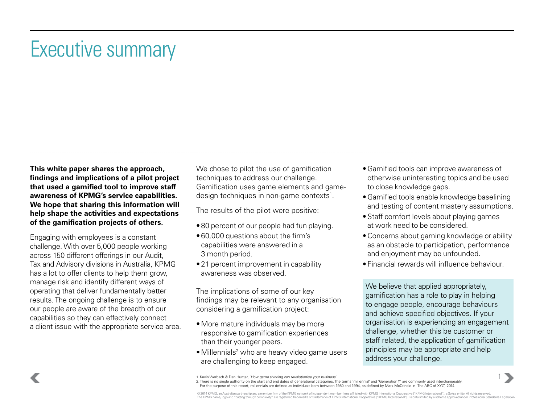## <span id="page-2-0"></span>Executive summary

**This white paper shares the approach, findings and implications of a pilot project that used a gamified tool to improve staff awareness of KPMG's service capabilities. We hope that sharing this information will help shape the activities and expectations of the gamification projects of others.**

Engaging with employees is a constant challenge. With over 5,000 people working across 150 different offerings in our Audit, Tax and Advisory divisions in Australia, KPMG has a lot to offer clients to help them grow, manage risk and identify different ways of operating that deliver fundamentally better results. The ongoing challenge is to ensure our people are aware of the breadth of our capabilities so they can effectively connect a client issue with the appropriate service area. We chose to pilot the use of gamification techniques to address our challenge. Gamification uses game elements and gamedesign techniques in non-game contexts<sup>1</sup>.

The results of the pilot were positive:

- 80 percent of our people had fun playing.
- 60,000 questions about the firm's capabilities were answered in a 3 month period.
- 21 percent improvement in capability awareness was observed.

The implications of some of our key findings may be relevant to any organisation considering a gamification project:

- More mature individuals may be more responsive to gamification experiences than their younger peers.
- Millennials<sup>2</sup> who are heavy video game users are challenging to keep engaged.
- •Gamified tools can improve awareness of otherwise uninteresting topics and be used to close knowledge gaps.
- •Gamified tools enable knowledge baselining and testing of content mastery assumptions.
- •Staff comfort levels about playing games at work need to be considered.
- •Concerns about gaming knowledge or ability as an obstacle to participation, performance and enjoyment may be unfounded.
- Financial rewards will influence behaviour.

We believe that applied appropriately, gamification has a role to play in helping to engage people, encourage behaviours and achieve specified objectives. If your organisation is experiencing an engagement challenge, whether this be customer or staff related, the application of gamification principles may be appropriate and help address your challenge.

1. Kevin Werbach & Dan Hunter, '*How game thinking can revolutionise your business*'.<br>2. There is no single authority on the start and end dates of generational categories. The terms 'millennial' and 'Generation Y' are com For the purpose of this report, millennials are defined as individuals born between 1980 and 1994, as defined by Mark McCrindle in 'The ABC of XYZ', 2014.

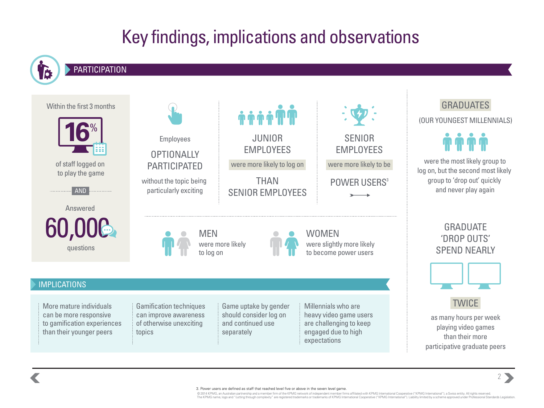## Key findings, implications and observations

### **PARTICIPATION**





© 2014 KPMG, an Australian partnership and a member firm of the KPMG network of independent member firms affiliated with KPMG International Cooperative ("KPMG International"), a Swiss entity. All rights reserved. The KPMG name, logo and "cutting through complexity" are registered trademarks of trademarks of KPMG International Cooperative ("KPMG International"). Liability limited by a scheme approved under Professional Standards Leg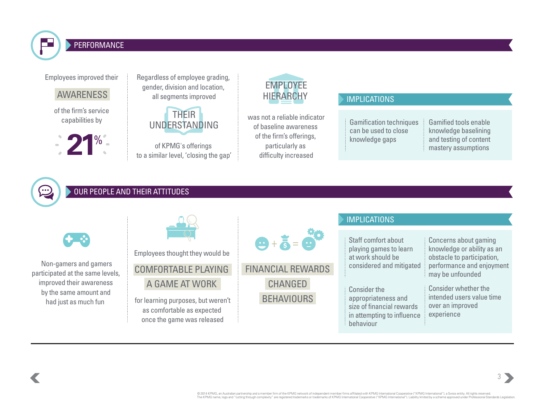

#### PERFORMANCE

Employees improved their

**AWARENESS** 

of the firm's service capabilities by



Regardless of employee grading, gender, division and location, all segments improved

> THEIR UNDERSTANDING

of KPMG's offerings to a similar level, 'closing the gap'

### EMPLOYEE HIERARCHY MPLICATIONS

was not a reliable indicator of baseline awareness of the firm's offerings, particularly as difficulty increased

Gamification techniques can be used to close knowledge gaps

Gamified tools enable knowledge baselining and testing of content mastery assumptions

#### OUR PEOPLE AND THEIR ATTITUDES

|                                                           |                                                                                                |                                                                      | <b>IMPLICATIONS</b>                                                                                                                                                                                                          |                                                                                   |
|-----------------------------------------------------------|------------------------------------------------------------------------------------------------|----------------------------------------------------------------------|------------------------------------------------------------------------------------------------------------------------------------------------------------------------------------------------------------------------------|-----------------------------------------------------------------------------------|
| $\left( \begin{matrix} 1 \\ 2 \end{matrix} \right)$       | Employees thought they would be                                                                | $\ddot{\Theta} + \ddot{\mathbf{5}} = \ddot{\mathbf{6}}^{\mathbf{A}}$ | Staff comfort about<br>playing games to learn<br>at work should be                                                                                                                                                           | Concerns about gaming<br>knowledge or ability as an<br>obstacle to participation, |
| Non-gamers and gamers<br>participated at the same levels, | <b>COMFORTABLE PLAYING</b>                                                                     | <b>FINANCIAL REWARDS</b>                                             | considered and mitigated<br>may be unfounded<br><b>Consider whether the</b><br>Consider the<br>appropriateness and<br>over an improved<br>size of financial rewards<br>experience<br>in attempting to influence<br>behaviour | performance and enjoyment                                                         |
| improved their awareness                                  | A GAME AT WORK                                                                                 | <b>CHANGED</b>                                                       |                                                                                                                                                                                                                              |                                                                                   |
| by the same amount and<br>had just as much fun            | for learning purposes, but weren't<br>as comfortable as expected<br>once the game was released | <b>BEHAVIOURS</b>                                                    |                                                                                                                                                                                                                              | intended users value time                                                         |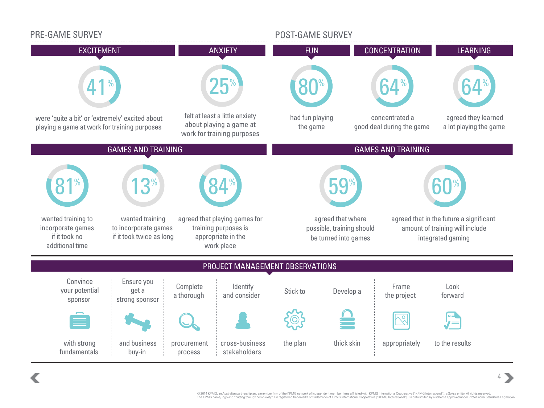

© 2014 KPMG, an Australian partnership and a member firm of the KPMG network of independent member firms affiliated with KPMG International Cooperative ("KPMG International"), a Swiss entity. All rights reserved. The KPMG name, logo and "cutting through complexity" are registered trademarks of trademarks of KPMG International Cooperative ("KPMG International"). Liability limited by a scheme approved under Professional Standards Leg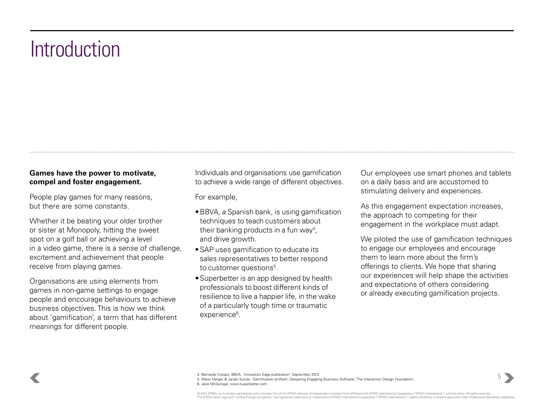## <span id="page-6-0"></span>**Introduction**

#### **Games have the power to motivate, compel and foster engagement.**

People play games for many reasons, but there are some constants.

Whether it be beating your older brother or sister at Monopoly, hitting the sweet spot on a golf ball or achieving a level in a video game, there is a sense of challenge, excitement and achievement that people receive from playing games.

Organisations are using elements from games in non-game settings to engage people and encourage behaviours to achieve business objectives. This is how we think about 'gamification', a term that has different meanings for different people.

Individuals and organisations use gamification to achieve a wide range of different objectives.

For example,

- •BBVA, a Spanish bank, is using gamification techniques to teach customers about their banking products in a fun way<sup>4</sup>, and drive growth.
- •SAP uses gamification to educate its sales representatives to better respond to customer questions<sup>5</sup>.
- •Superbetter is an app designed by health professionals to boost different kinds of resilience to live a happier life, in the wake of a particularly tough time or traumatic experience<sup>6</sup>.

Our employees use smart phones and tablets on a daily basis and are accustomed to stimulating delivery and experiences.

As this engagement expectation increases, the approach to competing for their engagement in the workplace must adapt.

We piloted the use of gamification techniques to engage our employees and encourage them to learn more about the firm's offerings to clients. We hope that sharing our experiences will help shape the activities and expectations of others considering or already executing gamification projects.



5. Mario Herger & Janaki Kumar, '*Gamification at Work: Designing Engaging Business Software'*, The Interaction Design Foundation. 6. Jane McGonigal, www.superbetter.com

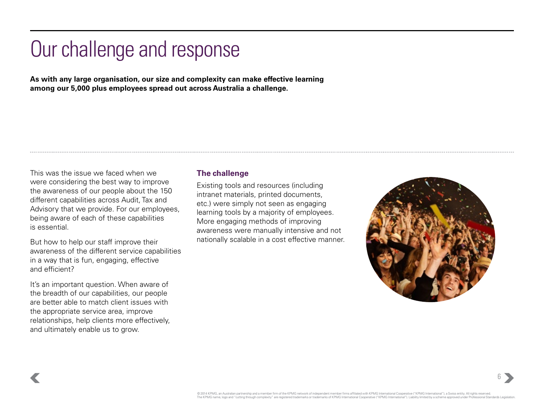## <span id="page-7-0"></span>Our challenge and response

**As with any large organisation, our size and complexity can make effective learning among our 5,000 plus employees spread out across Australia a challenge.**

This was the issue we faced when we were considering the best way to improve the awareness of our people about the 150 different capabilities across Audit, Tax and Advisory that we provide. For our employees, being aware of each of these capabilities is essential.

But how to help our staff improve their awareness of the different service capabilities in a way that is fun, engaging, effective and efficient?

It's an important question. When aware of the breadth of our capabilities, our people are better able to match client issues with the appropriate service area, improve relationships, help clients more effectively, and ultimately enable us to grow.

#### **The challenge**

Existing tools and resources (including intranet materials, printed documents, etc.) were simply not seen as engaging learning tools by a majority of employees. More engaging methods of improving awareness were manually intensive and not nationally scalable in a cost effective manner.

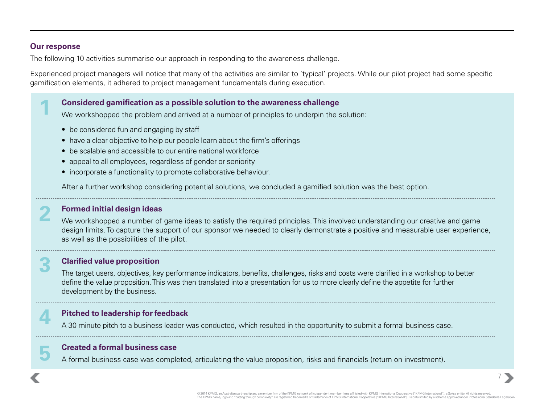#### **Our response**

**1**

**2**

**3**

**4**

**5**

The following 10 activities summarise our approach in responding to the awareness challenge.

Experienced project managers will notice that many of the activities are similar to 'typical' projects. While our pilot project had some specific gamification elements, it adhered to project management fundamentals during execution.

#### **Considered gamification as a possible solution to the awareness challenge**

We workshopped the problem and arrived at a number of principles to underpin the solution:

- be considered fun and engaging by staff
- have a clear objective to help our people learn about the firm's offerings
- be scalable and accessible to our entire national workforce
- appeal to all employees, regardless of gender or seniority
- incorporate a functionality to promote collaborative behaviour.

After a further workshop considering potential solutions, we concluded a gamified solution was the best option.

#### **Formed initial design ideas**

We workshopped a number of game ideas to satisfy the required principles. This involved understanding our creative and game design limits. To capture the support of our sponsor we needed to clearly demonstrate a positive and measurable user experience, as well as the possibilities of the pilot.

#### **Clarified value proposition**

The target users, objectives, key performance indicators, benefits, challenges, risks and costs were clarified in a workshop to better define the value proposition. This was then translated into a presentation for us to more clearly define the appetite for further development by the business.

#### **Pitched to leadership for feedback**

A 30 minute pitch to a business leader was conducted, which resulted in the opportunity to submit a formal business case.

#### **Created a formal business case**

A formal business case was completed, articulating the value proposition, risks and financials (return on investment).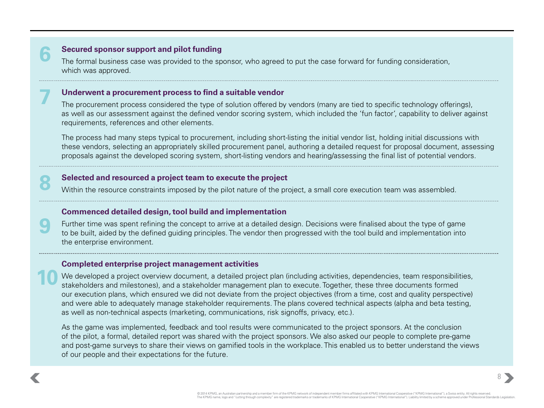#### **Secured sponsor support and pilot funding**

**6**

**7**

**8**

**9**

**10**

The formal business case was provided to the sponsor, who agreed to put the case forward for funding consideration, which was approved.

#### **Underwent a procurement process to find a suitable vendor**

The procurement process considered the type of solution offered by vendors (many are tied to specific technology offerings), as well as our assessment against the defined vendor scoring system, which included the 'fun factor', capability to deliver against requirements, references and other elements.

The process had many steps typical to procurement, including short-listing the initial vendor list, holding initial discussions with these vendors, selecting an appropriately skilled procurement panel, authoring a detailed request for proposal document, assessing proposals against the developed scoring system, short-listing vendors and hearing/assessing the final list of potential vendors.

#### **Selected and resourced a project team to execute the project**

Within the resource constraints imposed by the pilot nature of the project, a small core execution team was assembled.

#### **Commenced detailed design, tool build and implementation**

Further time was spent refining the concept to arrive at a detailed design. Decisions were finalised about the type of game to be built, aided by the defined guiding principles. The vendor then progressed with the tool build and implementation into the enterprise environment.

#### **Completed enterprise project management activities**

We developed a project overview document, a detailed project plan (including activities, dependencies, team responsibilities, stakeholders and milestones), and a stakeholder management plan to execute. Together, these three documents formed our execution plans, which ensured we did not deviate from the project objectives (from a time, cost and quality perspective) and were able to adequately manage stakeholder requirements. The plans covered technical aspects (alpha and beta testing, as well as non-technical aspects (marketing, communications, risk signoffs, privacy, etc.).

As the game was implemented, feedback and tool results were communicated to the project sponsors. At the conclusion of the pilot, a formal, detailed report was shared with the project sponsors. We also asked our people to complete pre-game and post-game surveys to share their views on gamified tools in the workplace. This enabled us to better understand the views of our people and their expectations for the future.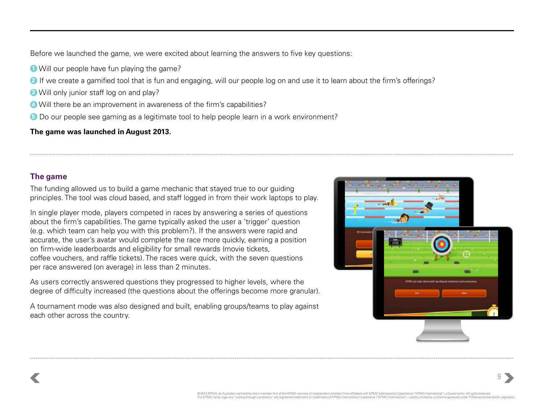Before we launched the game, we were excited about learning the answers to five key questions:

- **1** Will our people have fun playing the game?
- **2** If we create a gamified tool that is fun and engaging, will our people log on and use it to learn about the firm's offerings?
- **3** Will only junior staff log on and play?
- **4** Will there be an improvement in awareness of the firm's capabilities?
- **5** Do our people see gaming as a legitimate tool to help people learn in a work environment?

#### **The game was launched in August 2013.**

#### **The game**

The funding allowed us to build a game mechanic that stayed true to our guiding principles. The tool was cloud based, and staff logged in from their work laptops to play.

In single player mode, players competed in races by answering a series of questions about the firm's capabilities. The game typically asked the user a 'trigger' question (e.g. which team can help you with this problem?). If the answers were rapid and accurate, the user's avatar would complete the race more quickly, earning a position on firm-wide leaderboards and eligibility for small rewards (movie tickets, coffee vouchers, and raffle tickets). The races were quick, with the seven questions per race answered (on average) in less than 2 minutes.

As users correctly answered questions they progressed to higher levels, where the degree of difficulty increased (the questions about the offerings become more granular).

A tournament mode was also designed and built, enabling groups/teams to play against each other across the country.

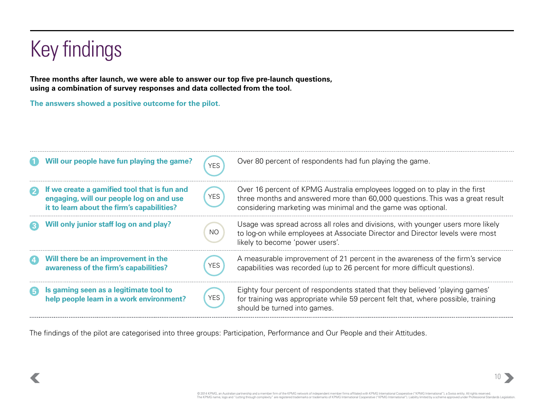## <span id="page-11-0"></span>Key findings

**Three months after launch, we were able to answer our top five pre-launch questions, using a combination of survey responses and data collected from the tool.**

**The answers showed a positive outcome for the pilot.** 

| Will our people have fun playing the game?                                                                                             | <b>YES</b> | Over 80 percent of respondents had fun playing the game.                                                                                                                                                                    |
|----------------------------------------------------------------------------------------------------------------------------------------|------------|-----------------------------------------------------------------------------------------------------------------------------------------------------------------------------------------------------------------------------|
| If we create a gamified tool that is fun and<br>engaging, will our people log on and use<br>it to learn about the firm's capabilities? | YES        | Over 16 percent of KPMG Australia employees logged on to play in the first<br>three months and answered more than 60,000 questions. This was a great result<br>considering marketing was minimal and the game was optional. |
| Will only junior staff log on and play?                                                                                                | <b>NO</b>  | Usage was spread across all roles and divisions, with younger users more likely<br>to log-on while employees at Associate Director and Director levels were most<br>likely to become 'power users'.                         |
| Will there be an improvement in the<br>awareness of the firm's capabilities?                                                           |            | A measurable improvement of 21 percent in the awareness of the firm's service<br>capabilities was recorded (up to 26 percent for more difficult questions).                                                                 |
| Is gaming seen as a legitimate tool to<br>help people learn in a work environment?                                                     | <b>YES</b> | Eighty four percent of respondents stated that they believed 'playing games'<br>for training was appropriate while 59 percent felt that, where possible, training<br>should be turned into games.                           |

The findings of the pilot are categorised into three groups: Participation, Performance and Our People and their Attitudes.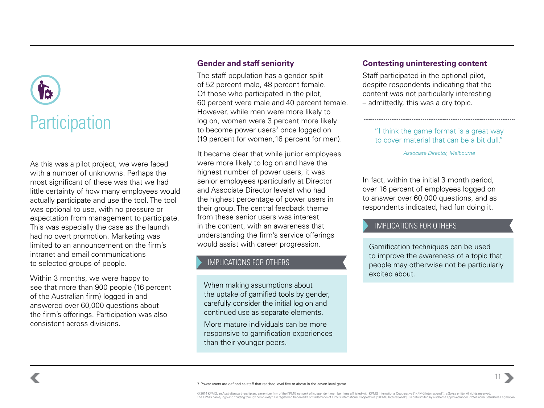# **Participation**

As this was a pilot project, we were faced with a number of unknowns. Perhaps the most significant of these was that we had little certainty of how many employees would actually participate and use the tool. The tool was optional to use, with no pressure or expectation from management to participate. This was especially the case as the launch had no overt promotion. Marketing was limited to an announcement on the firm's intranet and email communications to selected groups of people.

Within 3 months, we were happy to see that more than 900 people (16 percent of the Australian firm) logged in and answered over 60,000 questions about the firm's offerings. Participation was also consistent across divisions.

#### **Gender and staff seniority**

The staff population has a gender split of 52 percent male, 48 percent female. Of those who participated in the pilot, 60 percent were male and 40 percent female. However, while men were more likely to log on, women were 3 percent more likely to become power users<sup>7</sup> once logged on (19 percent for women,16 percent for men).

It became clear that while junior employees were more likely to log on and have the highest number of power users, it was senior employees (particularly at Director and Associate Director levels) who had the highest percentage of power users in their group. The central feedback theme from these senior users was interest in the content, with an awareness that understanding the firm's service offerings would assist with career progression.

#### IMPLICATIONS FOR OTHERS

When making assumptions about the uptake of gamified tools by gender, carefully consider the initial log on and continued use as separate elements.

More mature individuals can be more responsive to gamification experiences than their younger peers.

#### **Contesting uninteresting content**

Staff participated in the optional pilot, despite respondents indicating that the content was not particularly interesting – admittedly, this was a dry topic.

"I think the game format is a great way to cover material that can be a bit dull."

*Associate Director, Melbourne*

In fact, within the initial 3 month period, over 16 percent of employees logged on to answer over 60,000 questions, and as respondents indicated, had fun doing it.

#### IMPLICATIONS FOR OTHERS

Gamification techniques can be used to improve the awareness of a topic that people may otherwise not be particularly excited about.

11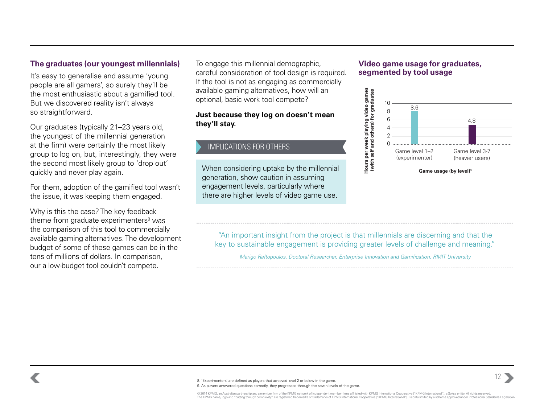#### **The graduates (our youngest millennials)**

It's easy to generalise and assume 'young people are all gamers', so surely they'll be the most enthusiastic about a gamified tool. But we discovered reality isn't always so straightforward.

Our graduates (typically 21–23 years old, the youngest of the millennial generation at the firm) were certainly the most likely group to log on, but, interestingly, they were the second most likely group to 'drop out' quickly and never play again.

For them, adoption of the gamified tool wasn't the issue, it was keeping them engaged.

Why is this the case? The key feedback theme from graduate experimenters<sup>8</sup> was the comparison of this tool to commercially available gaming alternatives. The development budget of some of these games can be in the tens of millions of dollars. In comparison, our a low-budget tool couldn't compete.

To engage this millennial demographic, careful consideration of tool design is required. If the tool is not as engaging as commercially available gaming alternatives, how will an optional, basic work tool compete?

#### **Just because they log on doesn't mean they'll stay.**

#### IMPLICATIONS FOR OTHERS

When considering uptake by the millennial generation, show caution in assuming engagement levels, particularly where there are higher levels of video game use.

#### **Video game usage for graduates, segmented by tool usage**



"An important insight from the project is that millennials are discerning and that the key to sustainable engagement is providing greater levels of challenge and meaning."

*Marigo Raftopoulos, Doctoral Researcher, Enterprise Innovation and Gamification, RMIT University*

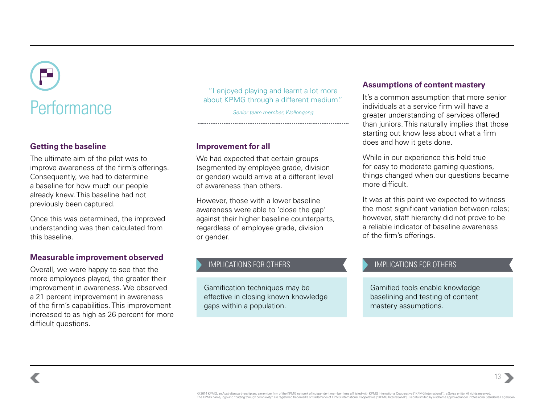# about KPMG through a different medium." Performance *Senior team member, Wollongong*

#### **Getting the baseline**

The ultimate aim of the pilot was to improve awareness of the firm's offerings. Consequently, we had to determine a baseline for how much our people already knew. This baseline had not previously been captured.

Once this was determined, the improved understanding was then calculated from this baseline.

#### **Measurable improvement observed**

Overall, we were happy to see that the more employees played, the greater their improvement in awareness. We observed a 21 percent improvement in awareness of the firm's capabilities. This improvement increased to as high as 26 percent for more difficult questions.

"I enjoyed playing and learnt a lot more

#### **Improvement for all**

We had expected that certain groups (segmented by employee grade, division or gender) would arrive at a different level of awareness than others.

However, those with a lower baseline awareness were able to 'close the gap' against their higher baseline counterparts, regardless of employee grade, division or gender.

#### IMPLICATIONS FOR OTHERS

Gamification techniques may be effective in closing known knowledge gaps within a population.

#### **Assumptions of content mastery**

It's a common assumption that more senior individuals at a service firm will have a greater understanding of services offered than juniors. This naturally implies that those starting out know less about what a firm does and how it gets done.

While in our experience this held true for easy to moderate gaming questions, things changed when our questions became more difficult.

It was at this point we expected to witness the most significant variation between roles; however, staff hierarchy did not prove to be a reliable indicator of baseline awareness of the firm's offerings.

#### IMPLICATIONS FOR OTHERS

Gamified tools enable knowledge baselining and testing of content mastery assumptions.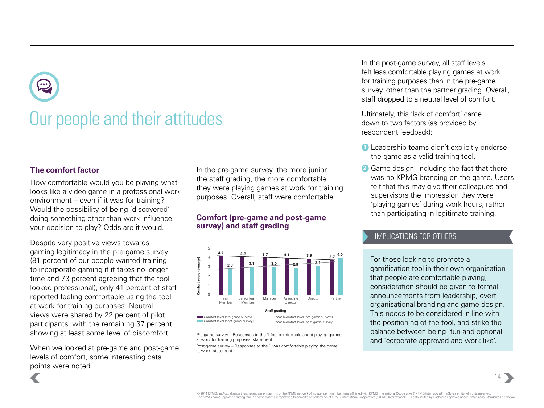## Our people and their attitudes

#### **The comfort factor**

How comfortable would you be playing what looks like a video game in a professional work environment – even if it was for training? Would the possibility of being 'discovered' doing something other than work influence your decision to play? Odds are it would.

Despite very positive views towards gaming legitimacy in the pre-game survey (81 percent of our people wanted training to incorporate gaming if it takes no longer time and 73 percent agreeing that the tool looked professional), only 41 percent of staff reported feeling comfortable using the tool at work for training purposes. Neutral views were shared by 22 percent of pilot participants, with the remaining 37 percent showing at least some level of discomfort.

When we looked at pre-game and post-game levels of comfort, some interesting data points were noted.

In the pre-game survey, the more junior the staff grading, the more comfortable they were playing games at work for training purposes. Overall, staff were comfortable.

#### **Comfort (pre-game and post-game survey) and staff grading**



Pre-game survey – Responses to the 'I feel comfortable about playing games at work for training purposes' statement

Post-game survey – Responses to the 'I was comfortable playing the game at work' statement

In the post-game survey, all staff levels felt less comfortable playing games at work for training purposes than in the pre-game survey, other than the partner grading. Overall, staff dropped to a neutral level of comfort.

Ultimately, this 'lack of comfort' came down to two factors (as provided by respondent feedback):

- **1** Leadership teams didn't explicitly endorse the game as a valid training tool.
- **2** Game design, including the fact that there was no KPMG branding on the game. Users felt that this may give their colleagues and supervisors the impression they were 'playing games' during work hours, rather than participating in legitimate training.

#### IMPLICATIONS FOR OTHERS

For those looking to promote a gamification tool in their own organisation that people are comfortable playing, consideration should be given to formal announcements from leadership, overt organisational branding and game design. This needs to be considered in line with the positioning of the tool, and strike the balance between being 'fun and optional' and 'corporate approved and work like'.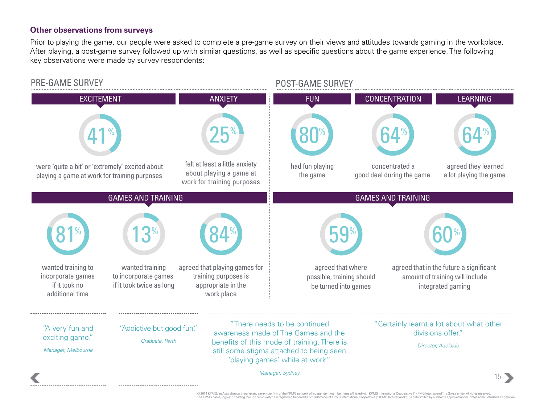#### **Other observations from surveys**

Prior to playing the game, our people were asked to complete a pre-game survey on their views and attitudes towards gaming in the workplace. After playing, a post-game survey followed up with similar questions, as well as specific questions about the game experience. The following key observations were made by survey respondents:

#### PRE-GAME SURVEY **POST-GAME SURVEY**



© 2014 KPMG, an Australian partnership and a member firm of the KPMG network of independent member firms affiliated with KPMG International Cooperative ("KPMG International"), a Swiss entity. All rights reserved. The KPMG name, logo and "cutting through complexity" are registered trademarks or trademarks of KPMG International Cooperative ("KPMG International"). Liability limited by a scheme approved under Professional Standards Leg processing the state of the state of the state of the state of the state of the state of the state of the stat<br>the state of the state of the state of the state of the state of the state of the state of the state of the st<br>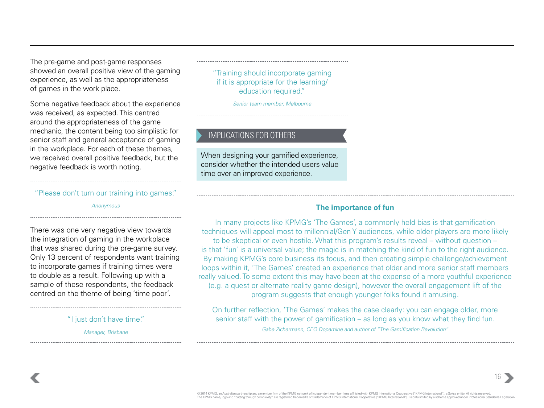The pre-game and post-game responses showed an overall positive view of the gaming experience, as well as the appropriateness of games in the work place.

Some negative feedback about the experience was received, as expected. This centred around the appropriateness of the game mechanic, the content being too simplistic for senior staff and general acceptance of gaming in the workplace. For each of these themes, we received overall positive feedback, but the negative feedback is worth noting.

"Please don't turn our training into games."

*Anonymous*

There was one very negative view towards the integration of gaming in the workplace that was shared during the pre-game survey. Only 13 percent of respondents want training to incorporate games if training times were to double as a result. Following up with a sample of these respondents, the feedback centred on the theme of being 'time poor'.

"I just don't have time."

*Manager, Brisbane*

"Training should incorporate gaming if it is appropriate for the learning/ education required."

*Senior team member, Melbourne*

#### IMPLICATIONS FOR OTHERS

When designing your gamified experience, consider whether the intended users value time over an improved experience.

#### **The importance of fun**

In many projects like KPMG's 'The Games', a commonly held bias is that gamification techniques will appeal most to millennial/Gen Y audiences, while older players are more likely to be skeptical or even hostile. What this program's results reveal – without question – is that 'fun' is a universal value; the magic is in matching the kind of fun to the right audience. By making KPMG's core business its focus, and then creating simple challenge/achievement loops within it, 'The Games' created an experience that older and more senior staff members really valued. To some extent this may have been at the expense of a more youthful experience (e.g. a quest or alternate reality game design), however the overall engagement lift of the program suggests that enough younger folks found it amusing.

On further reflection, 'The Games' makes the case clearly: you can engage older, more senior staff with the power of gamification – as long as you know what they find fun. *Gabe Zichermann, CEO Dopamine and author of "The Gamification Revolution"*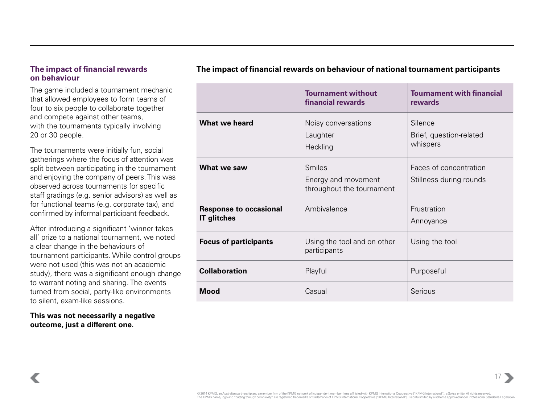#### **The impact of financial rewards on behaviour**

The game included a tournament mechanic that allowed employees to form teams of four to six people to collaborate together and compete against other teams, with the tournaments typically involving 20 or 30 people.

The tournaments were initially fun, social gatherings where the focus of attention was split between participating in the tournament and enjoying the company of peers. This was observed across tournaments for specific staff gradings (e.g. senior advisors) as well as for functional teams (e.g. corporate tax), and confirmed by informal participant feedback.

After introducing a significant 'winner takes all' prize to a national tournament, we noted a clear change in the behaviours of tournament participants. While control groups were not used (this was not an academic study), there was a significant enough change to warrant noting and sharing. The events turned from social, party-like environments to silent, exam-like sessions.

**This was not necessarily a negative outcome, just a different one.**

|                                                     | <b>Tournament without</b><br>financial rewards                    | <b>Tournament with financial</b><br>rewards       |
|-----------------------------------------------------|-------------------------------------------------------------------|---------------------------------------------------|
| <b>What we heard</b>                                | Noisy conversations<br>Laughter<br>Heckling                       | Silence<br>Brief, question-related<br>whispers    |
| What we saw                                         | <b>Smiles</b><br>Energy and movement<br>throughout the tournament | Faces of concentration<br>Stillness during rounds |
| <b>Response to occasional</b><br><b>IT glitches</b> | Ambivalence                                                       | Frustration<br>Annoyance                          |
| <b>Focus of participants</b>                        | Using the tool and on other<br>participants                       | Using the tool                                    |
| <b>Collaboration</b>                                | Playful                                                           | Purposeful                                        |
| <b>Mood</b>                                         | Casual                                                            | Serious                                           |

#### **The impact of financial rewards on behaviour of national tournament participants**

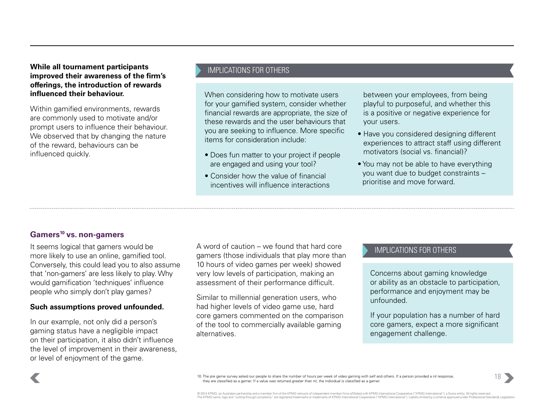**While all tournament participants improved their awareness of the firm's offerings, the introduction of rewards influenced their behaviour.**

Within gamified environments, rewards are commonly used to motivate and/or prompt users to influence their behaviour. We observed that by changing the nature of the reward, behaviours can be influenced quickly.

#### IMPLICATIONS FOR OTHERS

When considering how to motivate users for your gamified system, consider whether financial rewards are appropriate, the size of these rewards and the user behaviours that you are seeking to influence. More specific items for consideration include:

- Does fun matter to your project if people are engaged and using your tool?
- Consider how the value of financial incentives will influence interactions

between your employees, from being playful to purposeful, and whether this is a positive or negative experience for your users.

- Have you considered designing different experiences to attract staff using different motivators (social vs. financial)?
- You may not be able to have everything you want due to budget constraints – prioritise and move forward.

#### **Gamers10 vs. non-gamers**

It seems logical that gamers would be more likely to use an online, gamified tool. Conversely, this could lead you to also assume that 'non-gamers' are less likely to play. Why would gamification 'techniques' influence people who simply don't play games?

#### **Such assumptions proved unfounded.**

In our example, not only did a person's gaming status have a negligible impact on their participation, it also didn't influence the level of improvement in their awareness, or level of enjoyment of the game.

A word of caution – we found that hard core gamers (those individuals that play more than 10 hours of video games per week) showed very low levels of participation, making an assessment of their performance difficult.

Similar to millennial generation users, who had higher levels of video game use, hard core gamers commented on the comparison of the tool to commercially available gaming alternatives.

#### IMPLICATIONS FOR OTHERS

Concerns about gaming knowledge or ability as an obstacle to participation, performance and enjoyment may be unfounded.

If your population has a number of hard core gamers, expect a more significant engagement challenge.



10. The pre game survey asked our people to share the number of hours per week of video gaming with self and others. If a person provided a nil response, they are classified as a gamer. If a value was returned greater than nil, the individual is classified as a gamer.

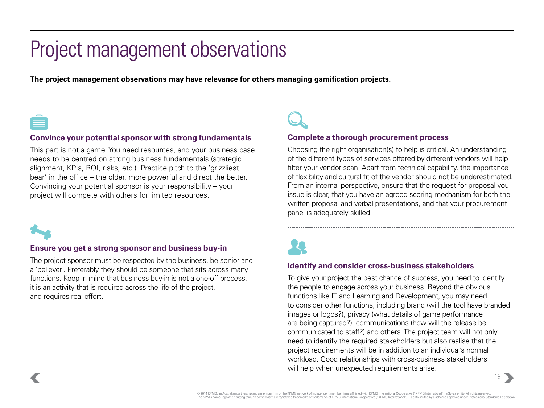## <span id="page-20-0"></span>Project management observations

**The project management observations may have relevance for others managing gamification projects.** 



#### **Convince your potential sponsor with strong fundamentals**

This part is not a game. You need resources, and your business case needs to be centred on strong business fundamentals (strategic alignment, KPIs, ROI, risks, etc.). Practice pitch to the 'grizzliest bear' in the office – the older, more powerful and direct the better. Convincing your potential sponsor is your responsibility – your project will compete with others for limited resources.



#### **Ensure you get a strong sponsor and business buy-in**

The project sponsor must be respected by the business, be senior and a 'believer'. Preferably they should be someone that sits across many functions. Keep in mind that business buy-in is not a one-off process, it is an activity that is required across the life of the project, and requires real effort.

#### **Complete a thorough procurement process**

Choosing the right organisation(s) to help is critical. An understanding of the different types of services offered by different vendors will help filter your vendor scan. Apart from technical capability, the importance of flexibility and cultural fit of the vendor should not be underestimated. From an internal perspective, ensure that the request for proposal you issue is clear, that you have an agreed scoring mechanism for both the written proposal and verbal presentations, and that your procurement panel is adequately skilled.



#### **Identify and consider cross-business stakeholders**

To give your project the best chance of success, you need to identify the people to engage across your business. Beyond the obvious functions like IT and Learning and Development, you may need to consider other functions, including brand (will the tool have branded images or logos?), privacy (what details of game performance are being captured?), communications (how will the release be communicated to staff?) and others. The project team will not only need to identify the required stakeholders but also realise that the project requirements will be in addition to an individual's normal workload. Good relationships with cross-business stakeholders will help when unexpected requirements arise.

 $19 \rightarrow$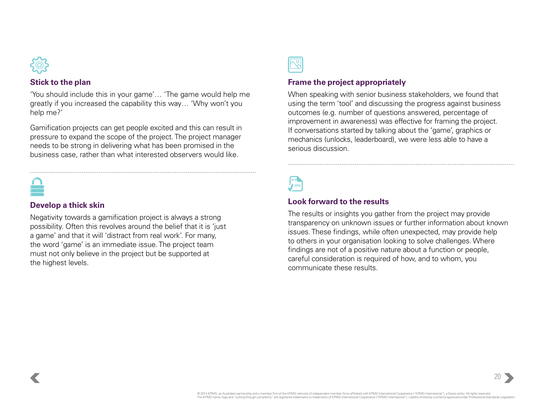

#### **Stick to the plan**

'You should include this in your game'… 'The game would help me greatly if you increased the capability this way… 'Why won't you help me?'

Gamification projects can get people excited and this can result in pressure to expand the scope of the project. The project manager needs to be strong in delivering what has been promised in the business case, rather than what interested observers would like.

#### **Develop a thick skin**

Negativity towards a gamification project is always a strong possibility. Often this revolves around the belief that it is 'just a game' and that it will 'distract from real work'. For many, the word 'game' is an immediate issue. The project team must not only believe in the project but be supported at the highest levels.

#### **Frame the project appropriately**

When speaking with senior business stakeholders, we found that using the term 'tool' and discussing the progress against business outcomes (e.g. number of questions answered, percentage of improvement in awareness) was effective for framing the project. If conversations started by talking about the 'game', graphics or mechanics (unlocks, leaderboard), we were less able to have a serious discussion.

#### **Look forward to the results**

The results or insights you gather from the project may provide transparency on unknown issues or further information about known issues. These findings, while often unexpected, may provide help to others in your organisation looking to solve challenges. Where findings are not of a positive nature about a function or people, careful consideration is required of how, and to whom, you communicate these results.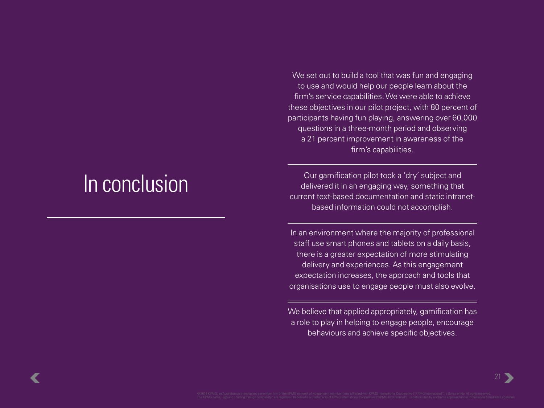## <span id="page-22-0"></span>In conclusion

We set out to build a tool that was fun and engaging to use and would help our people learn about the firm's service capabilities. We were able to achieve these objectives in our pilot project, with 80 percent of participants having fun playing, answering over 60,000 questions in a three-month period and observing a 21 percent improvement in awareness of the firm's capabilities.

Our gamification pilot took a 'dry' subject and delivered it in an engaging way, something that current text-based documentation and static intranetbased information could not accomplish.

In an environment where the majority of professional staff use smart phones and tablets on a daily basis, there is a greater expectation of more stimulating delivery and experiences. As this engagement expectation increases, the approach and tools that organisations use to engage people must also evolve.

We believe that applied appropriately, gamification has a role to play in helping to engage people, encourage behaviours and achieve specific objectives.